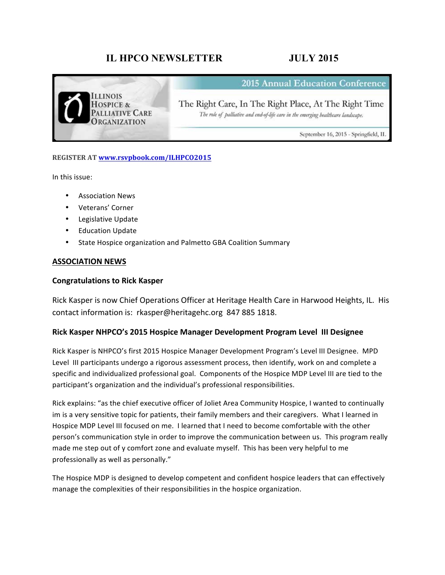# **IL HPCO NEWSLETTER JULY 2015**



**2015 Annual Education Conference** 

The Right Care, In The Right Place, At The Right Time The role of palliative and end-of-life care in the emerging healthcare landscape.

September 16, 2015 - Springfield, IL

## **REGISTER AT www.rsvpbook.com/ILHPCO2015**

In this issue:

- Association News
- Veterans' Corner
- Legislative Update
- Education Update
- State Hospice organization and Palmetto GBA Coalition Summary

## **ASSOCIATION NEWS**

## **Congratulations to Rick Kasper**

Rick Kasper is now Chief Operations Officer at Heritage Health Care in Harwood Heights, IL. His contact information is: rkasper@heritagehc.org 847 885 1818.

## **Rick Kasper NHPCO's 2015 Hospice Manager Development Program Level III Designee**

Rick Kasper is NHPCO's first 2015 Hospice Manager Development Program's Level III Designee. MPD Level III participants undergo a rigorous assessment process, then identify, work on and complete a specific and individualized professional goal. Components of the Hospice MDP Level III are tied to the participant's organization and the individual's professional responsibilities.

Rick explains: "as the chief executive officer of Joliet Area Community Hospice, I wanted to continually im is a very sensitive topic for patients, their family members and their caregivers. What I learned in Hospice MDP Level III focused on me. I learned that I need to become comfortable with the other person's communication style in order to improve the communication between us. This program really made me step out of y comfort zone and evaluate myself. This has been very helpful to me professionally as well as personally."

The Hospice MDP is designed to develop competent and confident hospice leaders that can effectively manage the complexities of their responsibilities in the hospice organization.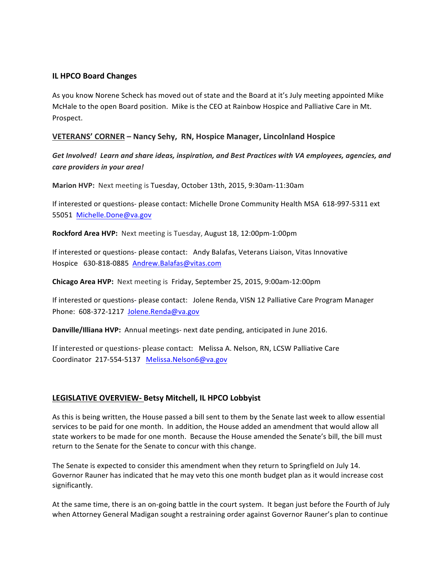## **IL HPCO Board Changes**

As you know Norene Scheck has moved out of state and the Board at it's July meeting appointed Mike McHale to the open Board position. Mike is the CEO at Rainbow Hospice and Palliative Care in Mt. Prospect. 

## **VETERANS' CORNER – Nancy Sehy, RN, Hospice Manager, Lincolnland Hospice**

Get Involved! Learn and share ideas, inspiration, and Best Practices with VA employees, agencies, and *care providers in your area!*

**Marion HVP:** Next meeting is Tuesday, October 13th, 2015, 9:30am-11:30am

If interested or questions- please contact: Michelle Drone Community Health MSA 618-997-5311 ext 55051 Michelle.Done@va.gov

**Rockford Area HVP:** Next meeting is Tuesday, August 18, 12:00pm-1:00pm

If interested or questions- please contact: Andy Balafas, Veterans Liaison, Vitas Innovative Hospice 630-818-0885 Andrew.Balafas@vitas.com

**Chicago Area HVP:** Next meeting is Friday, September 25, 2015, 9:00am-12:00pm

If interested or questions- please contact: Jolene Renda, VISN 12 Palliative Care Program Manager Phone: 608-372-1217 Jolene.Renda@va.gov

**Danville/Illiana HVP:** Annual meetings- next date pending, anticipated in June 2016.

If interested or questions- please contact: Melissa A. Nelson, RN, LCSW Palliative Care Coordinator 217-554-5137 Melissa.Nelson6@va.gov

## **LEGISLATIVE OVERVIEW- Betsy Mitchell, IL HPCO Lobbyist**

As this is being written, the House passed a bill sent to them by the Senate last week to allow essential services to be paid for one month. In addition, the House added an amendment that would allow all state workers to be made for one month. Because the House amended the Senate's bill, the bill must return to the Senate for the Senate to concur with this change.

The Senate is expected to consider this amendment when they return to Springfield on July 14. Governor Rauner has indicated that he may veto this one month budget plan as it would increase cost significantly. 

At the same time, there is an on-going battle in the court system. It began just before the Fourth of July when Attorney General Madigan sought a restraining order against Governor Rauner's plan to continue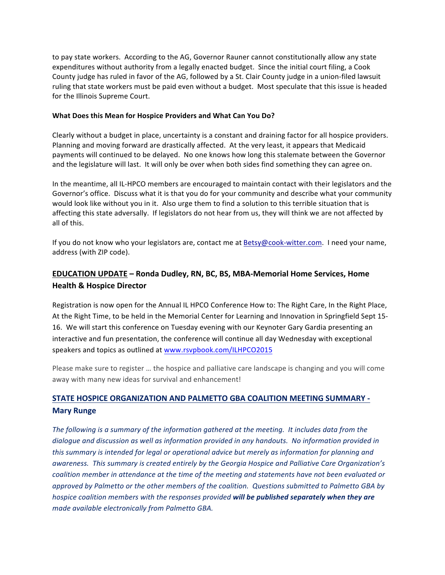to pay state workers. According to the AG, Governor Rauner cannot constitutionally allow any state expenditures without authority from a legally enacted budget. Since the initial court filing, a Cook County judge has ruled in favor of the AG, followed by a St. Clair County judge in a union-filed lawsuit ruling that state workers must be paid even without a budget. Most speculate that this issue is headed for the Illinois Supreme Court.

## **What Does this Mean for Hospice Providers and What Can You Do?**

Clearly without a budget in place, uncertainty is a constant and draining factor for all hospice providers. Planning and moving forward are drastically affected. At the very least, it appears that Medicaid payments will continued to be delayed. No one knows how long this stalemate between the Governor and the legislature will last. It will only be over when both sides find something they can agree on.

In the meantime, all IL-HPCO members are encouraged to maintain contact with their legislators and the Governor's office. Discuss what it is that you do for your community and describe what your community would look like without you in it. Also urge them to find a solution to this terrible situation that is affecting this state adversally. If legislators do not hear from us, they will think we are not affected by all of this.

If you do not know who your legislators are, contact me at Betsy@cook-witter.com. I need your name, address (with ZIP code).

## **EDUCATION UPDATE – Ronda Dudley, RN, BC, BS, MBA-Memorial Home Services, Home Health & Hospice Director**

Registration is now open for the Annual IL HPCO Conference How to: The Right Care, In the Right Place, At the Right Time, to be held in the Memorial Center for Learning and Innovation in Springfield Sept 15-16. We will start this conference on Tuesday evening with our Keynoter Gary Gardia presenting an interactive and fun presentation, the conference will continue all day Wednesday with exceptional speakers and topics as outlined at www.rsvpbook.com/ILHPCO2015

Please make sure to register ... the hospice and palliative care landscape is changing and you will come away with many new ideas for survival and enhancement!

## **STATE HOSPICE ORGANIZATION AND PALMETTO GBA COALITION MEETING SUMMARY -Mary Runge**

The following is a summary of the information gathered at the meeting. It includes data from the dialogue and discussion as well as information provided in any handouts. No information provided in *this* summary is intended for legal or operational advice but merely as information for planning and awareness. This summary is created entirely by the Georgia Hospice and Palliative Care Organization's *coalition* member in attendance at the time of the meeting and statements have not been evaluated or approved by Palmetto or the other members of the coalition. Questions submitted to Palmetto GBA by *hospice coalition members with the responses provided will be published separately when they are made available electronically from Palmetto GBA.*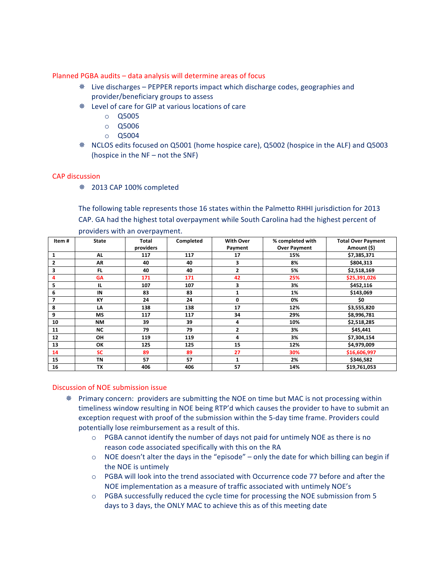## Planned PGBA audits - data analysis will determine areas of focus

- **W** Live discharges PEPPER reports impact which discharge codes, geographies and provider/beneficiary groups to assess
- <sup>※</sup> Level of care for GIP at various locations of care
	- o Q5005
	- o Q5006
	- o Q5004
- **EXECOS** edits focused on Q5001 (home hospice care), Q5002 (hospice in the ALF) and Q5003 (hospice in the  $NF - not$  the SNF)

## CAP discussion

Ø 2013 CAP 100% completed 

The following table represents those 16 states within the Palmetto RHHI jurisdiction for 2013 CAP. GA had the highest total overpayment while South Carolina had the highest percent of providers with an overpayment.

| Item#        | <b>State</b> | <b>Total</b> | Completed | <b>With Over</b> | % completed with    | <b>Total Over Payment</b> |
|--------------|--------------|--------------|-----------|------------------|---------------------|---------------------------|
|              |              | providers    |           | Payment          | <b>Over Payment</b> | Amount (\$)               |
| 1            | <b>AL</b>    | 117          | 117       | 17               | 15%                 | \$7,385,371               |
| $\mathbf{2}$ | <b>AR</b>    | 40           | 40        | 3                | 8%                  | \$804,313                 |
| 3            | FL.          | 40           | 40        | 2                | 5%                  | \$2,518,169               |
| 4            | <b>GA</b>    | 171          | 171       | 42               | 25%                 | \$25,391,026              |
| 5            | IL.          | 107          | 107       | 3                | 3%                  | \$452,116                 |
| 6            | IN           | 83           | 83        | $\mathbf{1}$     | 1%                  | \$143,069                 |
| 7            | KY           | 24           | 24        | 0                | 0%                  | \$0                       |
| 8            | LA           | 138          | 138       | 17               | 12%                 | \$3,555,820               |
| 9            | <b>MS</b>    | 117          | 117       | 34               | 29%                 | \$8,996,781               |
| 10           | <b>NM</b>    | 39           | 39        | 4                | 10%                 | \$2,518,285               |
| 11           | <b>NC</b>    | 79           | 79        | 2                | 3%                  | \$45,441                  |
| 12           | OH           | 119          | 119       | 4                | 3%                  | \$7,304,154               |
| 13           | ОК           | 125          | 125       | 15               | 12%                 | \$4,979,009               |
| 14           | <b>SC</b>    | 89           | 89        | 27               | 30%                 | \$16,606,997              |
| 15           | <b>TN</b>    | 57           | 57        | $\mathbf{1}$     | 2%                  | \$346,582                 |
| 16           | <b>TX</b>    | 406          | 406       | 57               | 14%                 | \$19,761,053              |

## Discussion of NOE submission issue

- <sup>※</sup> Primary concern: providers are submitting the NOE on time but MAC is not processing within timeliness window resulting in NOE being RTP'd which causes the provider to have to submit an exception request with proof of the submission within the 5-day time frame. Providers could potentially lose reimbursement as a result of this.
	- $\circ$  PGBA cannot identify the number of days not paid for untimely NOE as there is no reason code associated specifically with this on the RA
	- $\circ$  NOE doesn't alter the days in the "episode" only the date for which billing can begin if the NOE is untimely
	- $\circ$  PGBA will look into the trend associated with Occurrence code 77 before and after the NOE implementation as a measure of traffic associated with untimely NOE's
	- $\circ$  PGBA successfully reduced the cycle time for processing the NOE submission from 5 days to 3 days, the ONLY MAC to achieve this as of this meeting date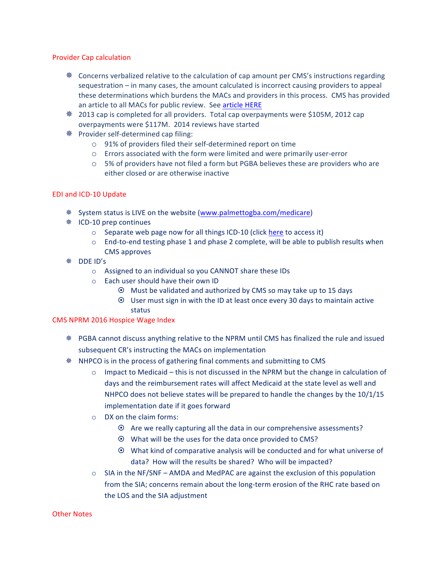### Provider Cap calculation

- $*$  Concerns verbalized relative to the calculation of cap amount per CMS's instructions regarding sequestration  $-$  in many cases, the amount calculated is incorrect causing providers to appeal these determinations which burdens the MACs and providers in this process. CMS has provided an article to all MACs for public review. See article HERE
- \* 2013 cap is completed for all providers. Total cap overpayments were \$105M, 2012 cap overpayments were \$117M. 2014 reviews have started
- **<sup>※</sup>** Provider self-determined cap filing:
	- o 91% of providers filed their self-determined report on time
	- $\circ$  Errors associated with the form were limited and were primarily user-error
	- $\circ$  5% of providers have not filed a form but PGBA believes these are providers who are either closed or are otherwise inactive

## EDI and ICD-10 Update

- **EXECT:** System status is LIVE on the website (www.palmettogba.com/medicare)
- $*$  ICD-10 prep continues
	- $\circ$  Separate web page now for all things ICD-10 (click here to access it)
	- $\circ$  End-to-end testing phase 1 and phase 2 complete, will be able to publish results when CMS approves
- ※ DDE ID's
	- $\circ$  Assigned to an individual so you CANNOT share these IDs
	- $\circ$  Each user should have their own ID
		- $\odot$  Must be validated and authorized by CMS so may take up to 15 days
		- $\odot$  User must sign in with the ID at least once every 30 days to maintain active status

## CMS NPRM 2016 Hospice Wage Index

- \* PGBA cannot discuss anything relative to the NPRM until CMS has finalized the rule and issued subsequent CR's instructing the MACs on implementation
- $*$  NHPCO is in the process of gathering final comments and submitting to CMS
	- $\circ$  Impact to Medicaid this is not discussed in the NPRM but the change in calculation of days and the reimbursement rates will affect Medicaid at the state level as well and NHPCO does not believe states will be prepared to handle the changes by the 10/1/15 implementation date if it goes forward
	- $\circ$  DX on the claim forms:
		- $\odot$  Are we really capturing all the data in our comprehensive assessments?
		- $\odot$  What will be the uses for the data once provided to CMS?
		- $\odot$  What kind of comparative analysis will be conducted and for what universe of data? How will the results be shared? Who will be impacted?
	- $\circ$  SIA in the NF/SNF AMDA and MedPAC are against the exclusion of this population from the SIA; concerns remain about the long-term erosion of the RHC rate based on the LOS and the SIA adjustment

### Other Notes